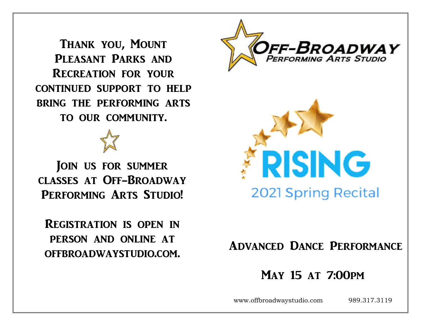Thank you, Mount PLEASANT PARKS AND Recreation for your continued support to help bring the performing arts to our community.

JOIN US FOR SUMMER classes at Off-Broadway PERFORMING ARTS STUDIO!

# Registration is open in person and online at offbroadwaystudio.com.





# Advanced Dance Performance

# May 15 at 7:00pm

www.offbroadwaystudio.com 989.317.3119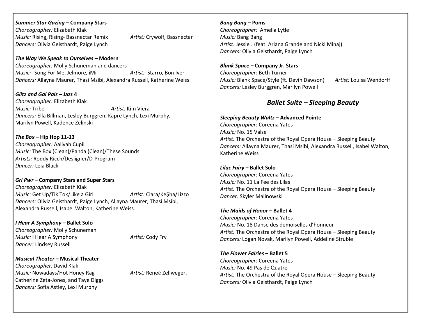#### *Summer Star Gazing –* **Company Stars**

*Choreographer:* Elizabeth Klak *Music:* Rising, Rising- Bassnectar Remix *Artist:* Crywolf, Bassnectar *Dancers:* Olivia Geisthardt, Paige Lynch

#### *The Way We Speak to Ourselves –* **Modern**

*Choreographer:* Molly Schuneman and dancers *Music:* Song For Me, Jelmore, iMi *Artist:* Starro, Bon Iver *Dancers:* Allayna Maurer, Thasi Msibi, Alexandra Russell, Katherine Weiss

*Glitz and Gal Pals* **– Jazz 4** *Choreographer:* Elizabeth Klak *Music:* Tribe *Artist:* Kim Viera *Dancers:* Ella Billman, Lesley Burggren, Kapre Lynch, Lexi Murphy, Marilyn Powell, Kadence Zelinski

*The Box* **– Hip Hop 11-13** *Choreographer:* Aaliyah Cupil *Music:* The Box (Clean)/Panda (Clean)/These Sounds *Artists:* Roddy Ricch/Desiigner/D-Program *Dancer:* Leia Black

### *Grl Pwr* **– Company Stars and Super Stars**  *Choreographer:* Elizabeth Klak *Music:* Get Up/Tik Tok/Like a Girl *Artist:* Ciara/Ke\$ha/Lizzo *Dancers:* Olivia Geisthardt, Paige Lynch, Allayna Maurer, Thasi Msibi, Alexandra Russell, Isabel Walton, Katherine Weiss

*I Hear A Symphony –* **Ballet Solo**  *Choreographer:* Molly Schuneman *Music:* I Hear A Symphony *Artist:* Cody Fry *Dancer:* Lindsey Russell

*Musical Theater* **– Musical Theater** *Choreographer:* David Klak *Music:* Nowadays/Hot Honey Rag *Artist:* Reneé Zellweger, Catherine Zeta-Jones, and Taye Diggs *Dancers:* Sofia Astley, Lexi Murphy

*Bang Bang –* **Poms** *Choreographer:* Amelia Lytle *Music:* Bang Bang *Artist:* Jessie J (feat. Ariana Grande and Nicki Minaj) *Dancers:* Olivia Geisthardt, Paige Lynch

*Blank Space* **– Company Jr. Stars**  *Choreographer:* Beth Turner *Music:* Blank Space/Style (ft. Devin Dawson) *Artist:* Louisa Wendorff *Dancers:* Lesley Burggren, Marilyn Powell

## *Ballet Suite – Sleeping Beauty*

*Sleeping Beauty Waltz* **– Advanced Pointe**  *Choreographer:* Coreena Yates *Music:* No. 15 Valse *Artist:* The Orchestra of the Royal Opera House – Sleeping Beauty *Dancers:* Allayna Maurer, Thasi Msibi, Alexandra Russell, Isabel Walton, Katherine Weiss

#### *Lilac Fairy* **– Ballet Solo** *Choreographer:* Coreena Yates

*Music:* No. 11 La Fee des Lilas *Artist:* The Orchestra of the Royal Opera House – Sleeping Beauty *Dancer:* Skyler Malinowski

#### *The Maids of Honor* **– Ballet 4**

*Choreographer:* Coreena Yates *Music:* No. 18 Danse des demoiselles d'honneur *Artist:* The Orchestra of the Royal Opera House – Sleeping Beauty *Dancers:* Logan Novak, Marilyn Powell, Addeline Struble

*The Flower Fairies* **– Ballet 5** *Choreographer:* Coreena Yates *Music:* No. 49 Pas de Quatre *Artist:* The Orchestra of the Royal Opera House – Sleeping Beauty *Dancers:* Olivia Geisthardt, Paige Lynch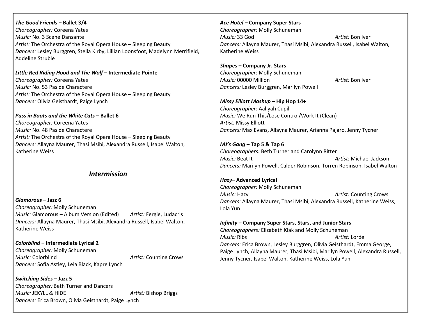#### *The Good Friends* **– Ballet 3/4**

*Choreographer:* Coreena Yates *Music:* No. 3 Scene Dansante *Artist:* The Orchestra of the Royal Opera House – Sleeping Beauty *Dancers:* Lesley Burggren, Stella Kirby, Lillian Loonsfoot, Madelynn Merrifield, Addeline Struble

#### *Little Red Riding Hood and The Wolf* **– Intermediate Pointe**

*Choreographer:* Coreena Yates *Music:* No. 53 Pas de Charactere *Artist:* The Orchestra of the Royal Opera House – Sleeping Beauty *Dancers:* Olivia Geisthardt, Paige Lynch

#### *Puss in Boots and the White Cats* **– Ballet 6**

*Choreographer:* Coreena Yates *Music:* No. 48 Pas de Charactere *Artist:* The Orchestra of the Royal Opera House – Sleeping Beauty *Dancers:* Allayna Maurer, Thasi Msibi, Alexandra Russell, Isabel Walton, Katherine Weiss

### *Intermission*

*Glamorous* **– Jazz 6** *Choreographer:* Molly Schuneman *Music:* Glamorous – Album Version (Edited) *Artist:* Fergie, Ludacris *Dancers:* Allayna Maurer, Thasi Msibi, Alexandra Russell, Isabel Walton, Katherine Weiss

*Colorblind* **– Intermediate Lyrical 2** *Choreographer:* Molly Schuneman *Music:* Colorblind *Artist:* Counting Crows *Dancers:* Sofia Astley, Leia Black, Kapre Lynch

*Switching Sides* **– Jazz 5** *Choreographer:* Beth Turner and Dancers *Music:* JEKYLL & HIDE *Artist:* Bishop Briggs *Dancers:* Erica Brown, Olivia Geisthardt, Paige Lynch

#### *Ace Hotel –* **Company Super Stars**

*Choreographer:* Molly Schuneman *Music:* 33 God *Artist:* Bon Iver *Dancers:* Allayna Maurer, Thasi Msibi, Alexandra Russell, Isabel Walton, Katherine Weiss

#### *Shapes* **– Company Jr. Stars**

*Choreographer:* Molly Schuneman *Music:* 00000 Million *Artist:* Bon Iver *Dancers:* Lesley Burggren, Marilyn Powell

#### *Missy Elliott Mashup* **– Hip Hop 14+**

*Choreographer:* Aaliyah Cupil *Music:* We Run This/Lose Control/Work It (Clean) *Artist:* Missy Elliott *Dancers:* Max Evans, Allayna Maurer, Arianna Pajaro, Jenny Tycner

*MJ's Gang* **– Tap 5 & Tap 6**  *Choreographers:* Beth Turner and Carolynn Ritter *Music:* Beat It *Artist:* Michael Jackson *Dancers:* Marilyn Powell, Calder Robinson, Torren Robinson, Isabel Walton

#### *Hazy***– Advanced Lyrical**

*Choreographer:* Molly Schuneman *Music:* Hazy *Artist:* Counting Crows *Dancers:* Allayna Maurer, Thasi Msibi, Alexandra Russell, Katherine Weiss, Lola Yun

#### *Infinity* **– Company Super Stars, Stars, and Junior Stars**

*Choreographers:* Elizabeth Klak and Molly Schuneman *Music:* Ribs *Artist:* Lorde *Dancers:* Erica Brown, Lesley Burggren, Olivia Geisthardt, Emma George, Paige Lynch, Allayna Maurer, Thasi Msibi, Marilyn Powell, Alexandra Russell, Jenny Tycner, Isabel Walton, Katherine Weiss, Lola Yun